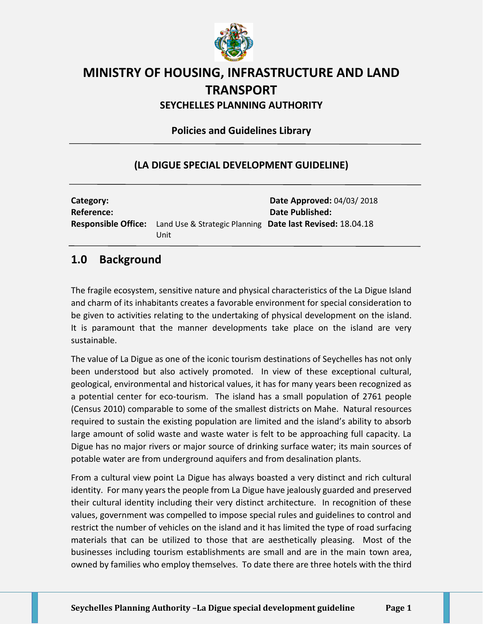

# **MINISTRY OF HOUSING, INFRASTRUCTURE AND LAND TRANSPORT**

**SEYCHELLES PLANNING AUTHORITY**

**Policies and Guidelines Library**

#### **(LA DIGUE SPECIAL DEVELOPMENT GUIDELINE)**

| Category:<br><b>Reference:</b> |                                                                                              | <b>Date Approved: 04/03/2018</b><br><b>Date Published:</b> |
|--------------------------------|----------------------------------------------------------------------------------------------|------------------------------------------------------------|
|                                | <b>Responsible Office:</b> Land Use & Strategic Planning Date last Revised: 18.04.18<br>Unit |                                                            |

## **1.0 Background**

The fragile ecosystem, sensitive nature and physical characteristics of the La Digue Island and charm of its inhabitants creates a favorable environment for special consideration to be given to activities relating to the undertaking of physical development on the island. It is paramount that the manner developments take place on the island are very sustainable.

The value of La Digue as one of the iconic tourism destinations of Seychelles has not only been understood but also actively promoted. In view of these exceptional cultural, geological, environmental and historical values, it has for many years been recognized as a potential center for eco-tourism. The island has a small population of 2761 people (Census 2010) comparable to some of the smallest districts on Mahe. Natural resources required to sustain the existing population are limited and the island's ability to absorb large amount of solid waste and waste water is felt to be approaching full capacity. La Digue has no major rivers or major source of drinking surface water; its main sources of potable water are from underground aquifers and from desalination plants.

From a cultural view point La Digue has always boasted a very distinct and rich cultural identity. For many years the people from La Digue have jealously guarded and preserved their cultural identity including their very distinct architecture. In recognition of these values, government was compelled to impose special rules and guidelines to control and restrict the number of vehicles on the island and it has limited the type of road surfacing materials that can be utilized to those that are aesthetically pleasing. Most of the businesses including tourism establishments are small and are in the main town area, owned by families who employ themselves. To date there are three hotels with the third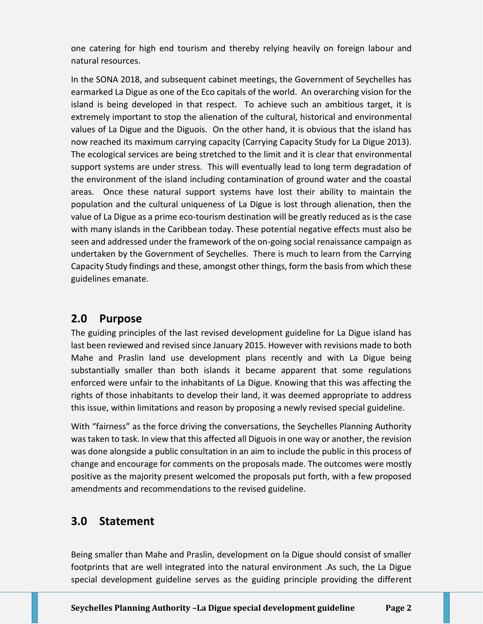one catering for high end tourism and thereby relying heavily on foreign labour and natural resources.

In the SONA 2018, and subsequent cabinet meetings, the Government of Seychelles has earmarked La Digue as one of the Eco capitals of the world. An overarching vision for the island is being developed in that respect. To achieve such an ambitious target, it is extremely important to stop the alienation of the cultural, historical and environmental values of La Digue and the Diguois. On the other hand, it is obvious that the island has now reached its maximum carrying capacity (Carrying Capacity Study for La Digue 2013). The ecological services are being stretched to the limit and it is clear that environmental support systems are under stress. This will eventually lead to long term degradation of the environment of the island including contamination of ground water and the coastal areas. Once these natural support systems have lost their ability to maintain the population and the cultural uniqueness of La Digue is lost through alienation, then the value of La Digue as a prime eco-tourism destination will be greatly reduced as is the case with many islands in the Caribbean today. These potential negative effects must also be seen and addressed under the framework of the on-going social renaissance campaign as undertaken by the Government of Seychelles. There is much to learn from the Carrying Capacity Study findings and these, amongst other things, form the basis from which these guidelines emanate.

## **2.0 Purpose**

The guiding principles of the last revised development guideline for La Digue island has last been reviewed and revised since January 2015. However with revisions made to both Mahe and Praslin land use development plans recently and with La Digue being substantially smaller than both islands it became apparent that some regulations enforced were unfair to the inhabitants of La Digue. Knowing that this was affecting the rights of those inhabitants to develop their land, it was deemed appropriate to address this issue, within limitations and reason by proposing a newly revised special guideline.

With "fairness" as the force driving the conversations, the Seychelles Planning Authority was taken to task. In view that this affected all Diguois in one way or another, the revision was done alongside a public consultation in an aim to include the public in this process of change and encourage for comments on the proposals made. The outcomes were mostly positive as the majority present welcomed the proposals put forth, with a few proposed amendments and recommendations to the revised guideline.

## **3.0 Statement**

Being smaller than Mahe and Praslin, development on la Digue should consist of smaller footprints that are well integrated into the natural environment .As such, the La Digue special development guideline serves as the guiding principle providing the different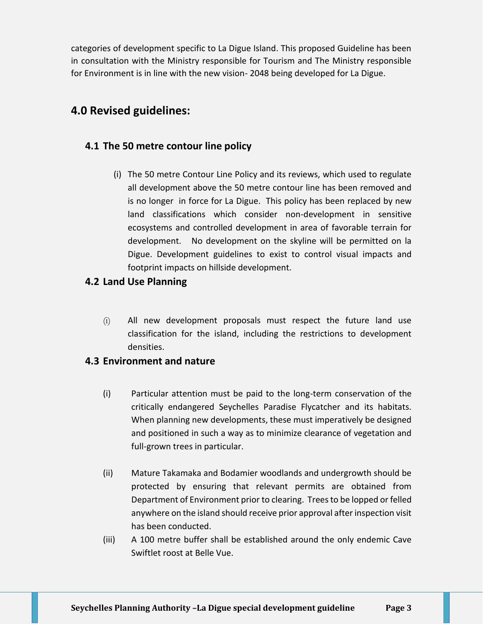categories of development specific to La Digue Island. This proposed Guideline has been in consultation with the Ministry responsible for Tourism and The Ministry responsible for Environment is in line with the new vision- 2048 being developed for La Digue.

## **4.0 Revised guidelines:**

### **4.1 The 50 metre contour line policy**

(i) The 50 metre Contour Line Policy and its reviews, which used to regulate all development above the 50 metre contour line has been removed and is no longer in force for La Digue. This policy has been replaced by new land classifications which consider non-development in sensitive ecosystems and controlled development in area of favorable terrain for development. No development on the skyline will be permitted on la Digue. Development guidelines to exist to control visual impacts and footprint impacts on hillside development.

#### **4.2 Land Use Planning**

(i) All new development proposals must respect the future land use classification for the island, including the restrictions to development densities.

#### **4.3 Environment and nature**

- (i) Particular attention must be paid to the long-term conservation of the critically endangered Seychelles Paradise Flycatcher and its habitats. When planning new developments, these must imperatively be designed and positioned in such a way as to minimize clearance of vegetation and full-grown trees in particular.
- (ii) Mature Takamaka and Bodamier woodlands and undergrowth should be protected by ensuring that relevant permits are obtained from Department of Environment prior to clearing. Trees to be lopped or felled anywhere on the island should receive prior approval after inspection visit has been conducted.
- (iii) A 100 metre buffer shall be established around the only endemic Cave Swiftlet roost at Belle Vue.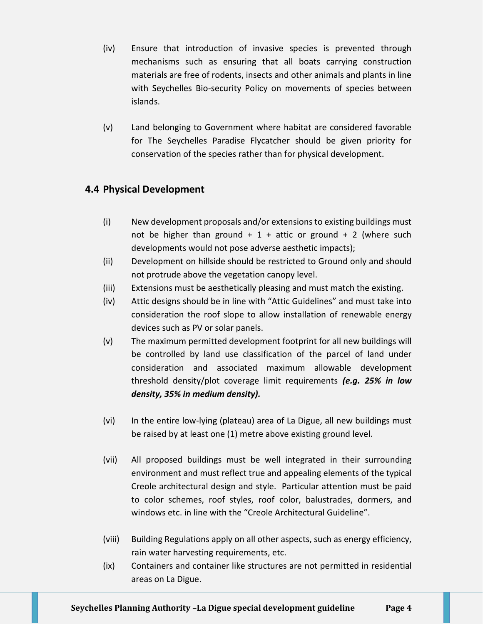- (iv) Ensure that introduction of invasive species is prevented through mechanisms such as ensuring that all boats carrying construction materials are free of rodents, insects and other animals and plants in line with Seychelles Bio-security Policy on movements of species between islands.
- (v) Land belonging to Government where habitat are considered favorable for The Seychelles Paradise Flycatcher should be given priority for conservation of the species rather than for physical development.

#### **4.4 Physical Development**

- (i) New development proposals and/or extensions to existing buildings must not be higher than ground  $+ 1 +$  attic or ground  $+ 2$  (where such developments would not pose adverse aesthetic impacts);
- (ii) Development on hillside should be restricted to Ground only and should not protrude above the vegetation canopy level.
- (iii) Extensions must be aesthetically pleasing and must match the existing.
- (iv) Attic designs should be in line with "Attic Guidelines" and must take into consideration the roof slope to allow installation of renewable energy devices such as PV or solar panels.
- (v) The maximum permitted development footprint for all new buildings will be controlled by land use classification of the parcel of land under consideration and associated maximum allowable development threshold density/plot coverage limit requirements *(e.g. 25% in low density, 35% in medium density).*
- (vi) In the entire low-lying (plateau) area of La Digue, all new buildings must be raised by at least one (1) metre above existing ground level.
- (vii) All proposed buildings must be well integrated in their surrounding environment and must reflect true and appealing elements of the typical Creole architectural design and style. Particular attention must be paid to color schemes, roof styles, roof color, balustrades, dormers, and windows etc. in line with the "Creole Architectural Guideline".
- (viii) Building Regulations apply on all other aspects, such as energy efficiency, rain water harvesting requirements, etc.
- (ix) Containers and container like structures are not permitted in residential areas on La Digue.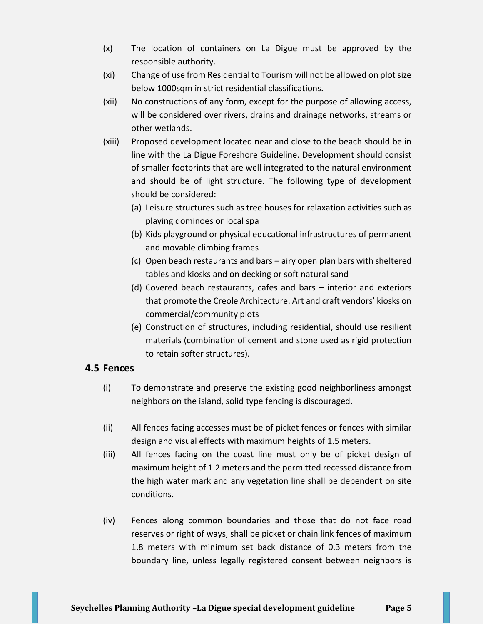- (x) The location of containers on La Digue must be approved by the responsible authority.
- (xi) Change of use from Residential to Tourism will not be allowed on plot size below 1000sqm in strict residential classifications.
- (xii) No constructions of any form, except for the purpose of allowing access, will be considered over rivers, drains and drainage networks, streams or other wetlands.
- (xiii) Proposed development located near and close to the beach should be in line with the La Digue Foreshore Guideline. Development should consist of smaller footprints that are well integrated to the natural environment and should be of light structure. The following type of development should be considered:
	- (a) Leisure structures such as tree houses for relaxation activities such as playing dominoes or local spa
	- (b) Kids playground or physical educational infrastructures of permanent and movable climbing frames
	- (c) Open beach restaurants and bars airy open plan bars with sheltered tables and kiosks and on decking or soft natural sand
	- (d) Covered beach restaurants, cafes and bars interior and exteriors that promote the Creole Architecture. Art and craft vendors' kiosks on commercial/community plots
	- (e) Construction of structures, including residential, should use resilient materials (combination of cement and stone used as rigid protection to retain softer structures).

#### **4.5 Fences**

- (i) To demonstrate and preserve the existing good neighborliness amongst neighbors on the island, solid type fencing is discouraged.
- (ii) All fences facing accesses must be of picket fences or fences with similar design and visual effects with maximum heights of 1.5 meters.
- (iii) All fences facing on the coast line must only be of picket design of maximum height of 1.2 meters and the permitted recessed distance from the high water mark and any vegetation line shall be dependent on site conditions.
- (iv) Fences along common boundaries and those that do not face road reserves or right of ways, shall be picket or chain link fences of maximum 1.8 meters with minimum set back distance of 0.3 meters from the boundary line, unless legally registered consent between neighbors is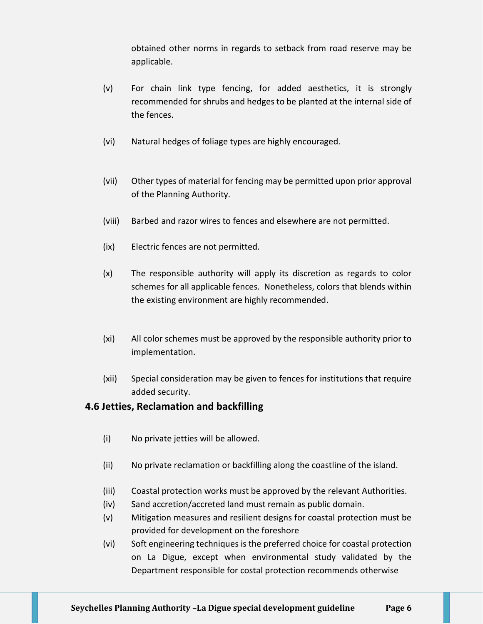obtained other norms in regards to setback from road reserve may be applicable.

- (v) For chain link type fencing, for added aesthetics, it is strongly recommended for shrubs and hedges to be planted at the internal side of the fences.
- (vi) Natural hedges of foliage types are highly encouraged.
- (vii) Other types of material for fencing may be permitted upon prior approval of the Planning Authority.
- (viii) Barbed and razor wires to fences and elsewhere are not permitted.
- (ix) Electric fences are not permitted.
- (x) The responsible authority will apply its discretion as regards to color schemes for all applicable fences. Nonetheless, colors that blends within the existing environment are highly recommended.
- (xi) All color schemes must be approved by the responsible authority prior to implementation.
- (xii) Special consideration may be given to fences for institutions that require added security.

#### **4.6 Jetties, Reclamation and backfilling**

- (i) No private jetties will be allowed.
- (ii) No private reclamation or backfilling along the coastline of the island.
- (iii) Coastal protection works must be approved by the relevant Authorities.
- (iv) Sand accretion/accreted land must remain as public domain.
- (v) Mitigation measures and resilient designs for coastal protection must be provided for development on the foreshore
- (vi) Soft engineering techniques is the preferred choice for coastal protection on La Digue, except when environmental study validated by the Department responsible for costal protection recommends otherwise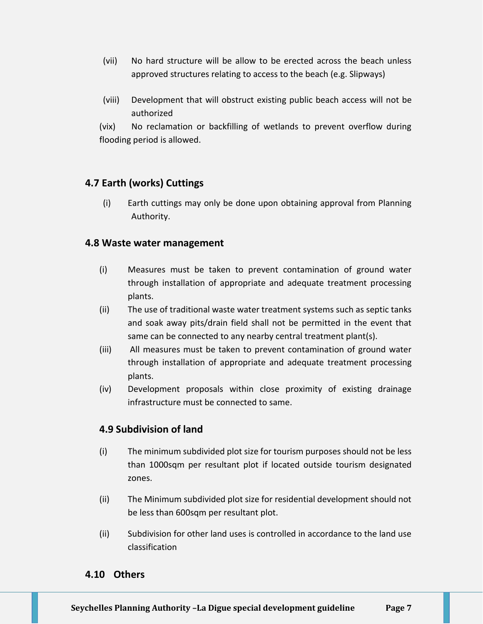- (vii) No hard structure will be allow to be erected across the beach unless approved structures relating to access to the beach (e.g. Slipways)
- (viii) Development that will obstruct existing public beach access will not be authorized

(vix) No reclamation or backfilling of wetlands to prevent overflow during flooding period is allowed.

#### **4.7 Earth (works) Cuttings**

(i) Earth cuttings may only be done upon obtaining approval from Planning Authority.

#### **4.8 Waste water management**

- (i) Measures must be taken to prevent contamination of ground water through installation of appropriate and adequate treatment processing plants.
- (ii) The use of traditional waste water treatment systems such as septic tanks and soak away pits/drain field shall not be permitted in the event that same can be connected to any nearby central treatment plant(s).
- (iii) All measures must be taken to prevent contamination of ground water through installation of appropriate and adequate treatment processing plants.
- (iv) Development proposals within close proximity of existing drainage infrastructure must be connected to same.

#### **4.9 Subdivision of land**

- (i) The minimum subdivided plot size for tourism purposes should not be less than 1000sqm per resultant plot if located outside tourism designated zones.
- (ii) The Minimum subdivided plot size for residential development should not be less than 600sqm per resultant plot.
- (ii) Subdivision for other land uses is controlled in accordance to the land use classification

#### **4.10 Others**